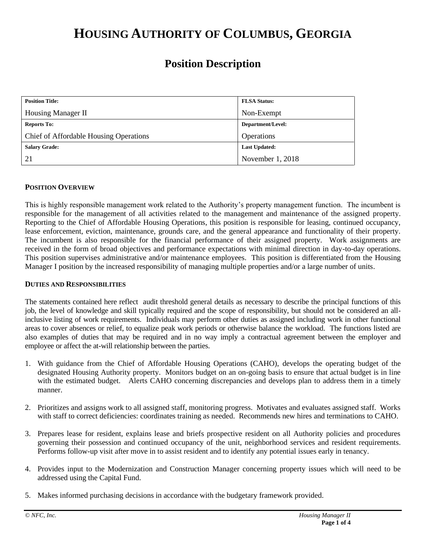# **HOUSING AUTHORITY OF COLUMBUS, GEORGIA**

# **Position Description**

| <b>Position Title:</b>                 | <b>FLSA Status:</b>  |
|----------------------------------------|----------------------|
| Housing Manager II                     | Non-Exempt           |
| <b>Reports To:</b>                     | Department/Level:    |
| Chief of Affordable Housing Operations | Operations           |
| <b>Salary Grade:</b>                   | <b>Last Updated:</b> |
| 21                                     | November 1, 2018     |

# **POSITION OVERVIEW**

This is highly responsible management work related to the Authority's property management function. The incumbent is responsible for the management of all activities related to the management and maintenance of the assigned property. Reporting to the Chief of Affordable Housing Operations, this position is responsible for leasing, continued occupancy, lease enforcement, eviction, maintenance, grounds care, and the general appearance and functionality of their property. The incumbent is also responsible for the financial performance of their assigned property. Work assignments are received in the form of broad objectives and performance expectations with minimal direction in day-to-day operations. This position supervises administrative and/or maintenance employees. This position is differentiated from the Housing Manager I position by the increased responsibility of managing multiple properties and/or a large number of units.

### **DUTIES AND RESPONSIBILITIES**

The statements contained here reflect audit threshold general details as necessary to describe the principal functions of this job, the level of knowledge and skill typically required and the scope of responsibility, but should not be considered an allinclusive listing of work requirements. Individuals may perform other duties as assigned including work in other functional areas to cover absences or relief, to equalize peak work periods or otherwise balance the workload. The functions listed are also examples of duties that may be required and in no way imply a contractual agreement between the employer and employee or affect the at-will relationship between the parties.

- 1. With guidance from the Chief of Affordable Housing Operations (CAHO), develops the operating budget of the designated Housing Authority property. Monitors budget on an on-going basis to ensure that actual budget is in line with the estimated budget. Alerts CAHO concerning discrepancies and develops plan to address them in a timely manner.
- 2. Prioritizes and assigns work to all assigned staff, monitoring progress. Motivates and evaluates assigned staff. Works with staff to correct deficiencies: coordinates training as needed. Recommends new hires and terminations to CAHO.
- 3. Prepares lease for resident, explains lease and briefs prospective resident on all Authority policies and procedures governing their possession and continued occupancy of the unit, neighborhood services and resident requirements. Performs follow-up visit after move in to assist resident and to identify any potential issues early in tenancy.
- 4. Provides input to the Modernization and Construction Manager concerning property issues which will need to be addressed using the Capital Fund.
- 5. Makes informed purchasing decisions in accordance with the budgetary framework provided.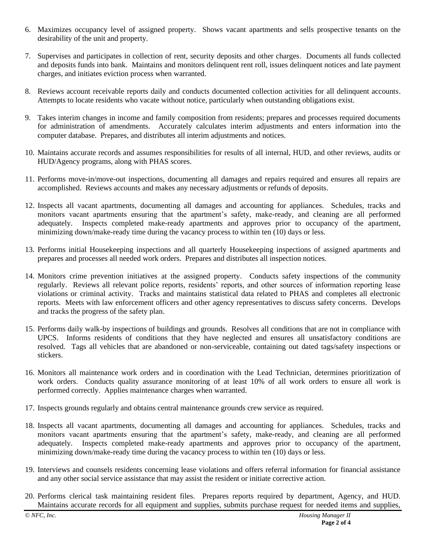- 6. Maximizes occupancy level of assigned property. Shows vacant apartments and sells prospective tenants on the desirability of the unit and property.
- 7. Supervises and participates in collection of rent, security deposits and other charges. Documents all funds collected and deposits funds into bank. Maintains and monitors delinquent rent roll, issues delinquent notices and late payment charges, and initiates eviction process when warranted.
- 8. Reviews account receivable reports daily and conducts documented collection activities for all delinquent accounts. Attempts to locate residents who vacate without notice, particularly when outstanding obligations exist.
- 9. Takes interim changes in income and family composition from residents; prepares and processes required documents for administration of amendments. Accurately calculates interim adjustments and enters information into the computer database. Prepares, and distributes all interim adjustments and notices.
- 10. Maintains accurate records and assumes responsibilities for results of all internal, HUD, and other reviews, audits or HUD/Agency programs, along with PHAS scores.
- 11. Performs move-in/move-out inspections, documenting all damages and repairs required and ensures all repairs are accomplished. Reviews accounts and makes any necessary adjustments or refunds of deposits.
- 12. Inspects all vacant apartments, documenting all damages and accounting for appliances. Schedules, tracks and monitors vacant apartments ensuring that the apartment's safety, make-ready, and cleaning are all performed adequately. Inspects completed make-ready apartments and approves prior to occupancy of the apartment, minimizing down/make-ready time during the vacancy process to within ten (10) days or less.
- 13. Performs initial Housekeeping inspections and all quarterly Housekeeping inspections of assigned apartments and prepares and processes all needed work orders. Prepares and distributes all inspection notices.
- 14. Monitors crime prevention initiatives at the assigned property. Conducts safety inspections of the community regularly. Reviews all relevant police reports, residents' reports, and other sources of information reporting lease violations or criminal activity. Tracks and maintains statistical data related to PHAS and completes all electronic reports. Meets with law enforcement officers and other agency representatives to discuss safety concerns. Develops and tracks the progress of the safety plan.
- 15. Performs daily walk-by inspections of buildings and grounds. Resolves all conditions that are not in compliance with UPCS. Informs residents of conditions that they have neglected and ensures all unsatisfactory conditions are resolved. Tags all vehicles that are abandoned or non-serviceable, containing out dated tags/safety inspections or stickers.
- 16. Monitors all maintenance work orders and in coordination with the Lead Technician, determines prioritization of work orders. Conducts quality assurance monitoring of at least 10% of all work orders to ensure all work is performed correctly. Applies maintenance charges when warranted.
- 17. Inspects grounds regularly and obtains central maintenance grounds crew service as required.
- 18. Inspects all vacant apartments, documenting all damages and accounting for appliances. Schedules, tracks and monitors vacant apartments ensuring that the apartment's safety, make-ready, and cleaning are all performed adequately. Inspects completed make-ready apartments and approves prior to occupancy of the apartment, minimizing down/make-ready time during the vacancy process to within ten (10) days or less.
- 19. Interviews and counsels residents concerning lease violations and offers referral information for financial assistance and any other social service assistance that may assist the resident or initiate corrective action.
- 20. Performs clerical task maintaining resident files. Prepares reports required by department, Agency, and HUD. Maintains accurate records for all equipment and supplies, submits purchase request for needed items and supplies,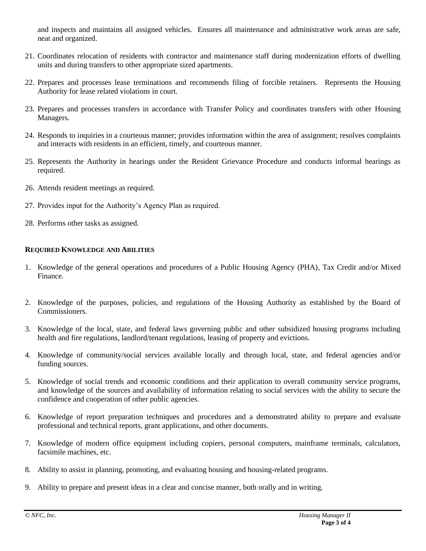and inspects and maintains all assigned vehicles. Ensures all maintenance and administrative work areas are safe, neat and organized.

- 21. Coordinates relocation of residents with contractor and maintenance staff during modernization efforts of dwelling units and during transfers to other appropriate sized apartments.
- 22. Prepares and processes lease terminations and recommends filing of forcible retainers. Represents the Housing Authority for lease related violations in court.
- 23. Prepares and processes transfers in accordance with Transfer Policy and coordinates transfers with other Housing Managers.
- 24. Responds to inquiries in a courteous manner; provides information within the area of assignment; resolves complaints and interacts with residents in an efficient, timely, and courteous manner.
- 25. Represents the Authority in hearings under the Resident Grievance Procedure and conducts informal hearings as required.
- 26. Attends resident meetings as required.
- 27. Provides input for the Authority's Agency Plan as required.
- 28. Performs other tasks as assigned.

# **REQUIRED KNOWLEDGE AND ABILITIES**

- 1. Knowledge of the general operations and procedures of a Public Housing Agency (PHA), Tax Credit and/or Mixed Finance.
- 2. Knowledge of the purposes, policies, and regulations of the Housing Authority as established by the Board of Commissioners.
- 3. Knowledge of the local, state, and federal laws governing public and other subsidized housing programs including health and fire regulations, landlord/tenant regulations, leasing of property and evictions.
- 4. Knowledge of community/social services available locally and through local, state, and federal agencies and/or funding sources.
- 5. Knowledge of social trends and economic conditions and their application to overall community service programs, and knowledge of the sources and availability of information relating to social services with the ability to secure the confidence and cooperation of other public agencies.
- 6. Knowledge of report preparation techniques and procedures and a demonstrated ability to prepare and evaluate professional and technical reports, grant applications, and other documents.
- 7. Knowledge of modern office equipment including copiers, personal computers, mainframe terminals, calculators, facsimile machines, etc.
- 8. Ability to assist in planning, promoting, and evaluating housing and housing-related programs.
- 9. Ability to prepare and present ideas in a clear and concise manner, both orally and in writing.